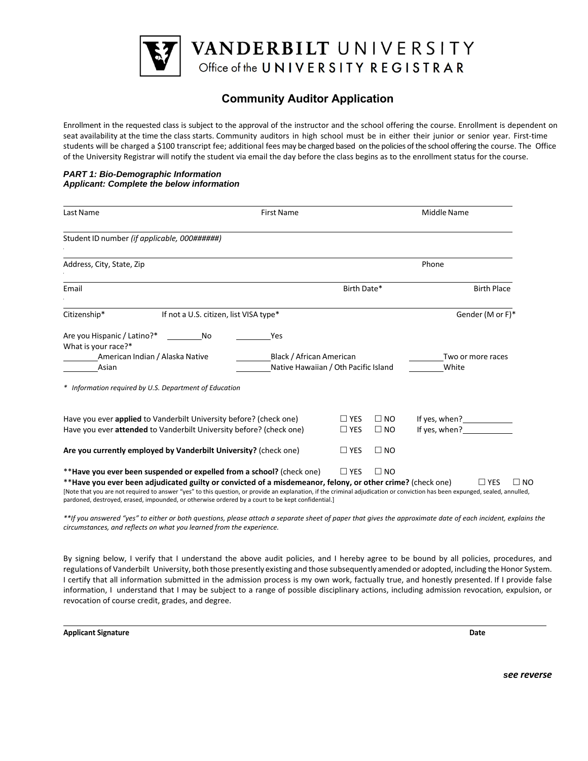

# **Community Auditor Application**

Enrollment in the requested class is subject to the approval of the instructor and the school offering the course. Enrollment is dependent on seat availability at the time the class starts. Community auditors in high school must be in either their junior or senior year. First-time students will be charged a \$100 transcript fee; additional fees may be charged based on the policies of the school offering the course. The Office of the University Registrar will notify the student via email the day before the class begins as to the enrollment status for the course.

#### *PART 1: Bio-Demographic Information Applicant: Complete the below information*

| Last Name                                                                                                                                                                                                                                                                                                                                                                                                                                                                | <b>First Name</b>               |                                                                    |                              | Middle Name                                                                                                                                                                                                                                                               |
|--------------------------------------------------------------------------------------------------------------------------------------------------------------------------------------------------------------------------------------------------------------------------------------------------------------------------------------------------------------------------------------------------------------------------------------------------------------------------|---------------------------------|--------------------------------------------------------------------|------------------------------|---------------------------------------------------------------------------------------------------------------------------------------------------------------------------------------------------------------------------------------------------------------------------|
| Student ID number (if applicable, 000######)                                                                                                                                                                                                                                                                                                                                                                                                                             |                                 |                                                                    |                              |                                                                                                                                                                                                                                                                           |
| Address, City, State, Zip                                                                                                                                                                                                                                                                                                                                                                                                                                                |                                 |                                                                    |                              | Phone                                                                                                                                                                                                                                                                     |
| Email                                                                                                                                                                                                                                                                                                                                                                                                                                                                    |                                 |                                                                    | Birth Date*                  | <b>Birth Place</b>                                                                                                                                                                                                                                                        |
| If not a U.S. citizen, list VISA type*<br>Citizenship*                                                                                                                                                                                                                                                                                                                                                                                                                   |                                 |                                                                    |                              | Gender (M or F)*                                                                                                                                                                                                                                                          |
| Are you Hispanic / Latino?*<br>No<br>What is your race?*<br>American Indian / Alaska Native<br>Asian                                                                                                                                                                                                                                                                                                                                                                     | Yes<br>Black / African American | Two or more races<br>Native Hawaiian / Oth Pacific Island<br>White |                              |                                                                                                                                                                                                                                                                           |
| * Information required by U.S. Department of Education                                                                                                                                                                                                                                                                                                                                                                                                                   |                                 |                                                                    |                              |                                                                                                                                                                                                                                                                           |
| Have you ever applied to Vanderbilt University before? (check one)<br>Have you ever attended to Vanderbilt University before? (check one)                                                                                                                                                                                                                                                                                                                                |                                 | $\Box$ YES<br>$\Box$ YES                                           | $\square$ NO<br>$\square$ NO | If yes, when?<br><u>[</u> [16] Manuson Supplemanus Supplemanus Supplemanus Supplemanus Supplemanus Supplemanus Supplemanus Supplemanus Supplemanus Supplemanus Supplemanus Supplemanus Supplemanus Supplemanus Supplemanus Supplemanus<br>If yes, when?<br><u>Letting</u> |
| Are you currently employed by Vanderbilt University? (check one)                                                                                                                                                                                                                                                                                                                                                                                                         |                                 | $\Box$ YES                                                         | $\square$ NO                 |                                                                                                                                                                                                                                                                           |
| **Have you ever been suspended or expelled from a school? (check one)<br>**Have you ever been adjudicated guilty or convicted of a misdemeanor, felony, or other crime? (check one)<br>[Note that you are not required to answer "yes" to this question, or provide an explanation, if the criminal adjudication or conviction has been expunged, sealed, annulled,<br>pardoned, destroyed, erased, impounded, or otherwise ordered by a court to be kept confidential.] |                                 | $\Box$ YES                                                         | $\Box$ NO                    | $\Box$ YES<br>$\Box$ NO                                                                                                                                                                                                                                                   |

*\*\*If you answered "yes" to either or both questions, please attach a separate sheet of paper that gives the approximate date of each incident, explains the circumstances, and reflects on what you learned from the experience.* 

By signing below, I verify that I understand the above audit policies, and I hereby agree to be bound by all policies, procedures, and regulations of Vanderbilt University, both those presently existing and those subsequently amended or adopted, including the Honor System. I certify that all information submitted in the admission process is my own work, factually true, and honestly presented. If I provide false information, I understand that I may be subject to a range of possible disciplinary actions, including admission revocation, expulsion, or revocation of course credit, grades, and degree.

**Applicant Signature Date** 

*see reverse*